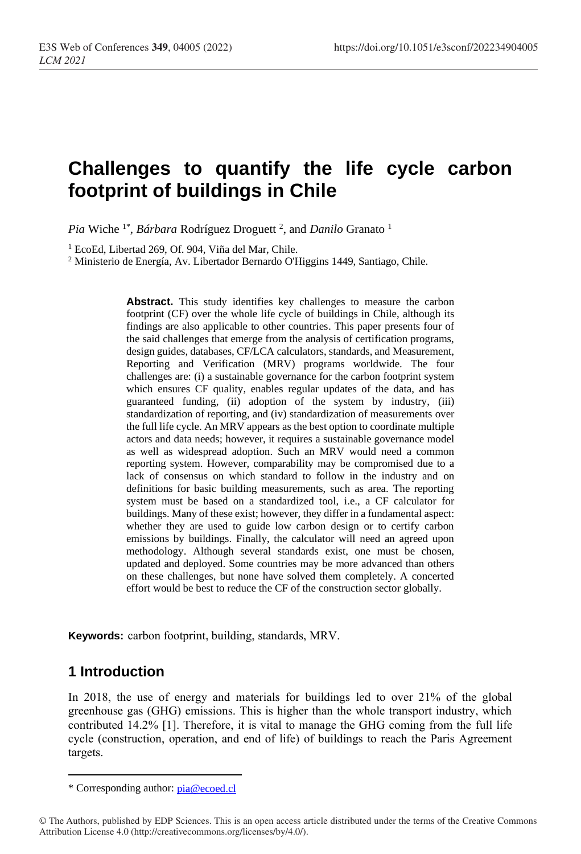# **Challenges to quantify the life cycle carbon footprint of buildings in Chile**

Pia Wiche<sup>1\*</sup>, *Bárbara* Rodríguez Droguett<sup>2</sup>, and *Danilo* Granato<sup>1</sup>

<sup>1</sup> EcoEd, Libertad 269, Of. 904, Viña del Mar, Chile.

<sup>2</sup> Ministerio de Energía, Av. Libertador Bernardo O'Higgins 1449, Santiago, Chile.

**Abstract.** This study identifies key challenges to measure the carbon footprint (CF) over the whole life cycle of buildings in Chile, although its findings are also applicable to other countries. This paper presents four of the said challenges that emerge from the analysis of certification programs, design guides, databases, CF/LCA calculators, standards, and Measurement, Reporting and Verification (MRV) programs worldwide. The four challenges are: (i) a sustainable governance for the carbon footprint system which ensures CF quality, enables regular updates of the data, and has guaranteed funding, (ii) adoption of the system by industry, (iii) standardization of reporting, and (iv) standardization of measurements over the full life cycle. An MRV appears as the best option to coordinate multiple actors and data needs; however, it requires a sustainable governance model as well as widespread adoption. Such an MRV would need a common reporting system. However, comparability may be compromised due to a lack of consensus on which standard to follow in the industry and on definitions for basic building measurements, such as area. The reporting system must be based on a standardized tool, i.e., a CF calculator for buildings. Many of these exist; however, they differ in a fundamental aspect: whether they are used to guide low carbon design or to certify carbon emissions by buildings. Finally, the calculator will need an agreed upon methodology. Although several standards exist, one must be chosen, updated and deployed. Some countries may be more advanced than others on these challenges, but none have solved them completely. A concerted effort would be best to reduce the CF of the construction sector globally.

**Keywords:** carbon footprint, building, standards, MRV.

# **1 Introduction**

In 2018, the use of energy and materials for buildings led to over 21% of the global greenhouse gas (GHG) emissions. This is higher than the whole transport industry, which contributed 14.2% [1]. Therefore, it is vital to manage the GHG coming from the full life cycle (construction, operation, and end of life) of buildings to reach the Paris Agreement targets.

<sup>\*</sup> Corresponding author: [pia@ecoed.cl](mailto:pia@ecoed.cl)

<sup>©</sup> The Authors, published by EDP Sciences. This is an open access article distributed under the terms of the Creative Commons Attribution License 4.0 (http://creativecommons.org/licenses/by/4.0/).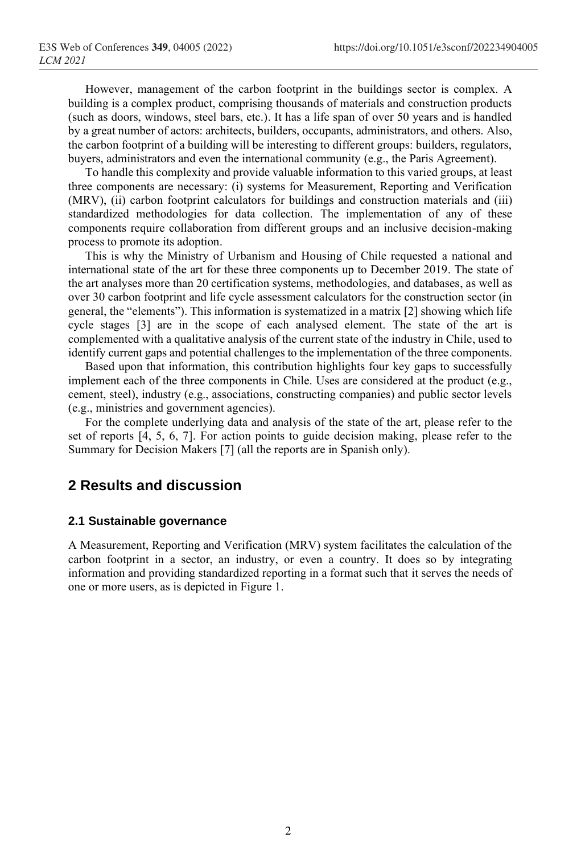However, management of the carbon footprint in the buildings sector is complex. A building is a complex product, comprising thousands of materials and construction products (such as doors, windows, steel bars, etc.). It has a life span of over 50 years and is handled by a great number of actors: architects, builders, occupants, administrators, and others. Also, the carbon footprint of a building will be interesting to different groups: builders, regulators, buyers, administrators and even the international community (e.g., the Paris Agreement).

To handle this complexity and provide valuable information to this varied groups, at least three components are necessary: (i) systems for Measurement, Reporting and Verification (MRV), (ii) carbon footprint calculators for buildings and construction materials and (iii) standardized methodologies for data collection. The implementation of any of these components require collaboration from different groups and an inclusive decision-making process to promote its adoption.

This is why the Ministry of Urbanism and Housing of Chile requested a national and international state of the art for these three components up to December 2019. The state of the art analyses more than 20 certification systems, methodologies, and databases, as well as over 30 carbon footprint and life cycle assessment calculators for the construction sector (in general, the "elements"). This information is systematized in a matrix [2] showing which life cycle stages [3] are in the scope of each analysed element. The state of the art is complemented with a qualitative analysis of the current state of the industry in Chile, used to identify current gaps and potential challenges to the implementation of the three components.

Based upon that information, this contribution highlights four key gaps to successfully implement each of the three components in Chile. Uses are considered at the product (e.g., cement, steel), industry (e.g., associations, constructing companies) and public sector levels (e.g., ministries and government agencies).

For the complete underlying data and analysis of the state of the art, please refer to the set of reports [4, 5, 6, 7]. For action points to guide decision making, please refer to the Summary for Decision Makers [7] (all the reports are in Spanish only).

# **2 Results and discussion**

#### **2.1 Sustainable governance**

A Measurement, Reporting and Verification (MRV) system facilitates the calculation of the carbon footprint in a sector, an industry, or even a country. It does so by integrating information and providing standardized reporting in a format such that it serves the needs of one or more users, as is depicted in Figure 1.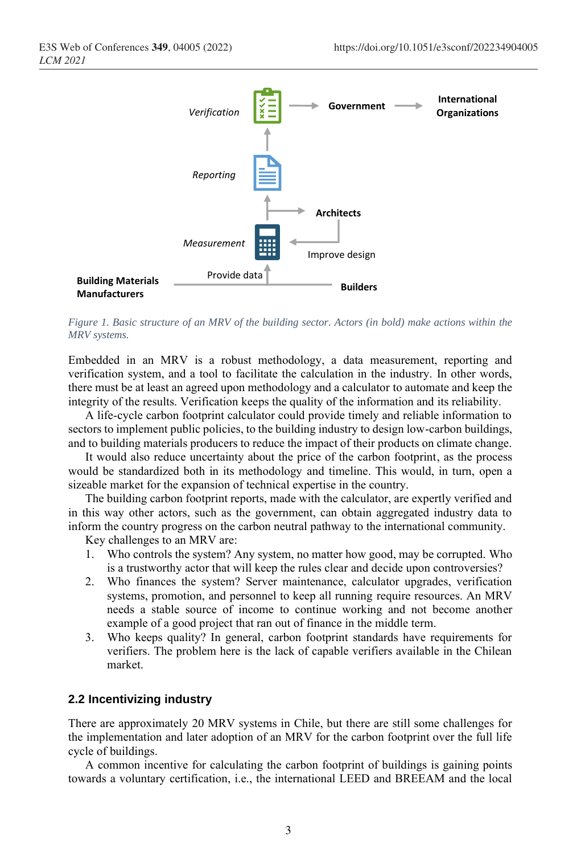

*Figure 1. Basic structure of an MRV of the building sector. Actors (in bold) make actions within the MRV systems.*

Embedded in an MRV is a robust methodology, a data measurement, reporting and verification system, and a tool to facilitate the calculation in the industry. In other words, there must be at least an agreed upon methodology and a calculator to automate and keep the integrity of the results. Verification keeps the quality of the information and its reliability.

A life-cycle carbon footprint calculator could provide timely and reliable information to sectors to implement public policies, to the building industry to design low-carbon buildings, and to building materials producers to reduce the impact of their products on climate change.

It would also reduce uncertainty about the price of the carbon footprint, as the process would be standardized both in its methodology and timeline. This would, in turn, open a sizeable market for the expansion of technical expertise in the country.

The building carbon footprint reports, made with the calculator, are expertly verified and in this way other actors, such as the government, can obtain aggregated industry data to inform the country progress on the carbon neutral pathway to the international community.

Key challenges to an MRV are:

- 1. Who controls the system? Any system, no matter how good, may be corrupted. Who is a trustworthy actor that will keep the rules clear and decide upon controversies?
- 2. Who finances the system? Server maintenance, calculator upgrades, verification systems, promotion, and personnel to keep all running require resources. An MRV needs a stable source of income to continue working and not become another example of a good project that ran out of finance in the middle term.
- 3. Who keeps quality? In general, carbon footprint standards have requirements for verifiers. The problem here is the lack of capable verifiers available in the Chilean market.

#### **2.2 Incentivizing industry**

There are approximately 20 MRV systems in Chile, but there are still some challenges for the implementation and later adoption of an MRV for the carbon footprint over the full life cycle of buildings.

A common incentive for calculating the carbon footprint of buildings is gaining points towards a voluntary certification, i.e., the international LEED and BREEAM and the local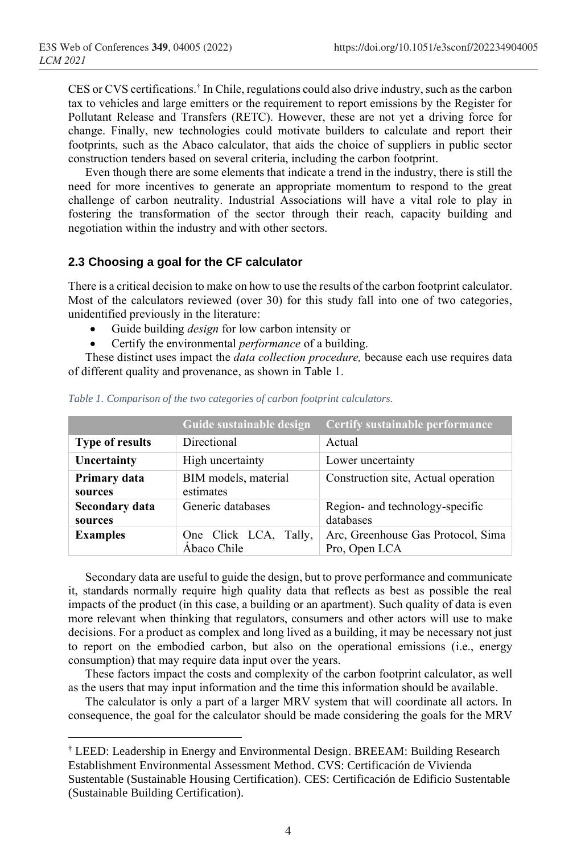CES or CVS certifications. † In Chile, regulations could also drive industry, such as the carbon tax to vehicles and large emitters or the requirement to report emissions by the Register for Pollutant Release and Transfers (RETC). However, these are not yet a driving force for change. Finally, new technologies could motivate builders to calculate and report their footprints, such as the Abaco calculator, that aids the choice of suppliers in public sector construction tenders based on several criteria, including the carbon footprint.

Even though there are some elements that indicate a trend in the industry, there is still the need for more incentives to generate an appropriate momentum to respond to the great challenge of carbon neutrality. Industrial Associations will have a vital role to play in fostering the transformation of the sector through their reach, capacity building and negotiation within the industry and with other sectors.

#### **2.3 Choosing a goal for the CF calculator**

There is a critical decision to make on how to use the results of the carbon footprint calculator. Most of the calculators reviewed (over 30) for this study fall into one of two categories, unidentified previously in the literature:

- Guide building *design* for low carbon intensity or
- Certify the environmental *performance* of a building.

These distinct uses impact the *data collection procedure,* because each use requires data of different quality and provenance, as shown i[n Table 1.](#page-3-0)

|                                  | Guide sustainable design             | Certify sustainable performance                     |  |
|----------------------------------|--------------------------------------|-----------------------------------------------------|--|
| <b>Type of results</b>           | Directional                          | Actual                                              |  |
| Uncertainty                      | High uncertainty                     | Lower uncertainty                                   |  |
| Primary data<br>sources          | BIM models, material<br>estimates    | Construction site, Actual operation                 |  |
| <b>Secondary data</b><br>sources | Generic databases                    | Region- and technology-specific<br>databases        |  |
| <b>Examples</b>                  | One Click LCA, Tally,<br>Ábaco Chile | Arc, Greenhouse Gas Protocol, Sima<br>Pro, Open LCA |  |

<span id="page-3-0"></span>*Table 1. Comparison of the two categories of carbon footprint calculators.*

Secondary data are useful to guide the design, but to prove performance and communicate it, standards normally require high quality data that reflects as best as possible the real impacts of the product (in this case, a building or an apartment). Such quality of data is even more relevant when thinking that regulators, consumers and other actors will use to make decisions. For a product as complex and long lived as a building, it may be necessary not just to report on the embodied carbon, but also on the operational emissions (i.e., energy consumption) that may require data input over the years.

These factors impact the costs and complexity of the carbon footprint calculator, as well as the users that may input information and the time this information should be available.

The calculator is only a part of a larger MRV system that will coordinate all actors. In consequence, the goal for the calculator should be made considering the goals for the MRV

<sup>†</sup> LEED: Leadership in Energy and Environmental Design. BREEAM: Building Research Establishment Environmental Assessment Method. CVS: Certificación de Vivienda Sustentable (Sustainable Housing Certification). CES: Certificación de Edificio Sustentable (Sustainable Building Certification).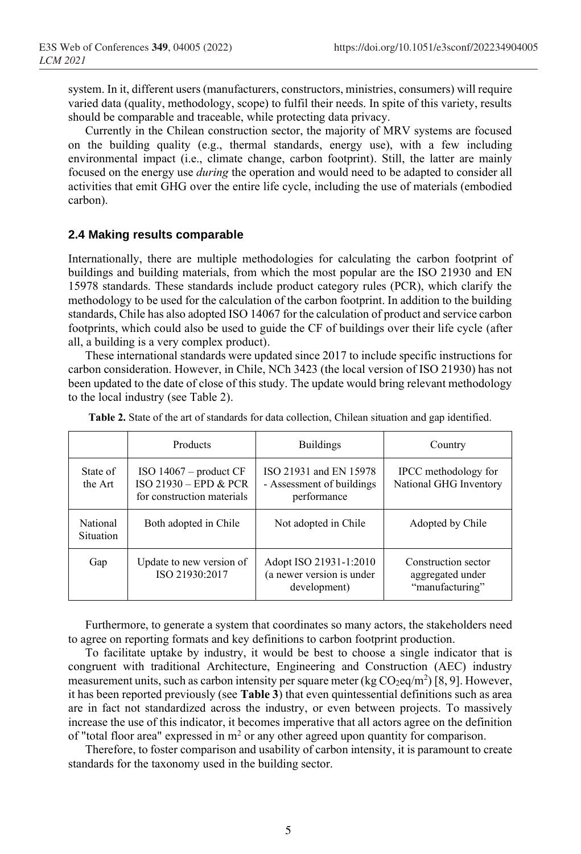system. In it, different users (manufacturers, constructors, ministries, consumers) will require varied data (quality, methodology, scope) to fulfil their needs. In spite of this variety, results should be comparable and traceable, while protecting data privacy.

Currently in the Chilean construction sector, the majority of MRV systems are focused on the building quality (e.g., thermal standards, energy use), with a few including environmental impact (i.e., climate change, carbon footprint). Still, the latter are mainly focused on the energy use *during* the operation and would need to be adapted to consider all activities that emit GHG over the entire life cycle, including the use of materials (embodied carbon).

#### **2.4 Making results comparable**

Internationally, there are multiple methodologies for calculating the carbon footprint of buildings and building materials, from which the most popular are the ISO 21930 and EN 15978 standards. These standards include product category rules (PCR), which clarify the methodology to be used for the calculation of the carbon footprint. In addition to the building standards, Chile has also adopted ISO 14067 for the calculation of product and service carbon footprints, which could also be used to guide the CF of buildings over their life cycle (after all, a building is a very complex product).

These international standards were updated since 2017 to include specific instructions for carbon consideration. However, in Chile, NCh 3423 (the local version of ISO 21930) has not been updated to the date of close of this study. The update would bring relevant methodology to the local industry (se[e Table 2\)](#page-4-0).

|                              | Products                                                                        | <b>Buildings</b>                                                    | Country                                                    |
|------------------------------|---------------------------------------------------------------------------------|---------------------------------------------------------------------|------------------------------------------------------------|
| State of<br>the Art          | ISO $14067$ – product CF<br>ISO 21930 – EPD & PCR<br>for construction materials | ISO 21931 and EN 15978<br>- Assessment of buildings<br>performance  | IPCC methodology for<br>National GHG Inventory             |
| National<br><b>Situation</b> | Both adopted in Chile                                                           | Not adopted in Chile                                                | Adopted by Chile                                           |
| Gap                          | Update to new version of<br>ISO 21930:2017                                      | Adopt ISO 21931-1:2010<br>(a newer version is under<br>development) | Construction sector<br>aggregated under<br>"manufacturing" |

<span id="page-4-0"></span>**Table 2.** State of the art of standards for data collection, Chilean situation and gap identified.

Furthermore, to generate a system that coordinates so many actors, the stakeholders need to agree on reporting formats and key definitions to carbon footprint production.

To facilitate uptake by industry, it would be best to choose a single indicator that is congruent with traditional Architecture, Engineering and Construction (AEC) industry measurement units, such as carbon intensity per square meter (kg  $CO_2$ eq/m<sup>2</sup>) [8, 9]. However, it has been reported previously (see **[Table 3](#page-5-0)**) that even quintessential definitions such as area are in fact not standardized across the industry, or even between projects. To massively increase the use of this indicator, it becomes imperative that all actors agree on the definition of "total floor area" expressed in  $m<sup>2</sup>$  or any other agreed upon quantity for comparison.

Therefore, to foster comparison and usability of carbon intensity, it is paramount to create standards for the taxonomy used in the building sector.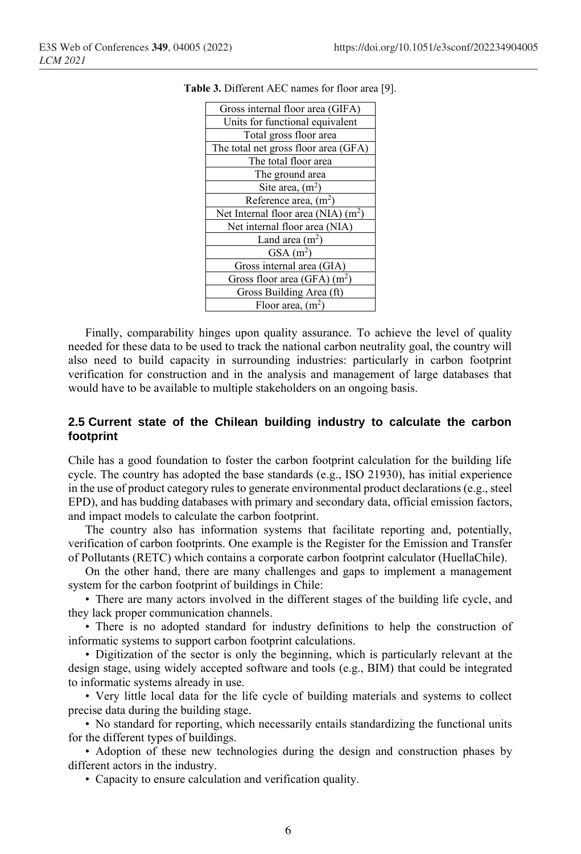<span id="page-5-0"></span>**Table 3.** Different AEC names for floor area [9].

Finally, comparability hinges upon quality assurance. To achieve the level of quality needed for these data to be used to track the national carbon neutrality goal, the country will also need to build capacity in surrounding industries: particularly in carbon footprint verification for construction and in the analysis and management of large databases that would have to be available to multiple stakeholders on an ongoing basis.

#### **2.5 Current state of the Chilean building industry to calculate the carbon footprint**

Chile has a good foundation to foster the carbon footprint calculation for the building life cycle. The country has adopted the base standards (e.g., ISO 21930), has initial experience in the use of product category rules to generate environmental product declarations (e.g., steel EPD), and has budding databases with primary and secondary data, official emission factors, and impact models to calculate the carbon footprint.

The country also has information systems that facilitate reporting and, potentially, verification of carbon footprints. One example is the Register for the Emission and Transfer of Pollutants (RETC) which contains a corporate carbon footprint calculator (HuellaChile).

On the other hand, there are many challenges and gaps to implement a management system for the carbon footprint of buildings in Chile:

• There are many actors involved in the different stages of the building life cycle, and they lack proper communication channels.

• There is no adopted standard for industry definitions to help the construction of informatic systems to support carbon footprint calculations.

• Digitization of the sector is only the beginning, which is particularly relevant at the design stage, using widely accepted software and tools (e.g., BIM) that could be integrated to informatic systems already in use.

• Very little local data for the life cycle of building materials and systems to collect precise data during the building stage.

• No standard for reporting, which necessarily entails standardizing the functional units for the different types of buildings.

• Adoption of these new technologies during the design and construction phases by different actors in the industry.

• Capacity to ensure calculation and verification quality.